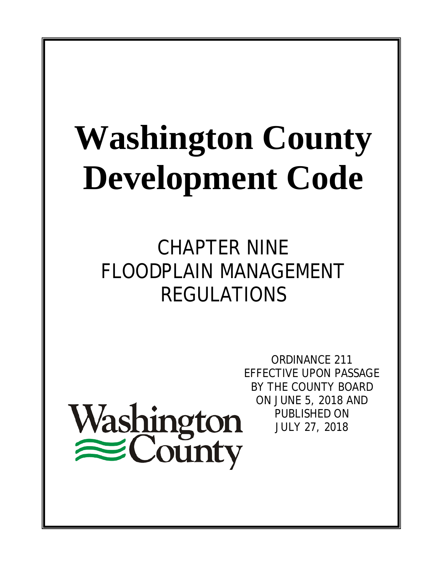# **Washington County Development Code**

CHAPTER NINE FLOODPLAIN MANAGEMENT REGULATIONS

Washington<br>
ECounty

ORDINANCE 211 EFFECTIVE UPON PASSAGE BY THE COUNTY BOARD ON JUNE 5, 2018 AND PUBLISHED ON JULY 27, 2018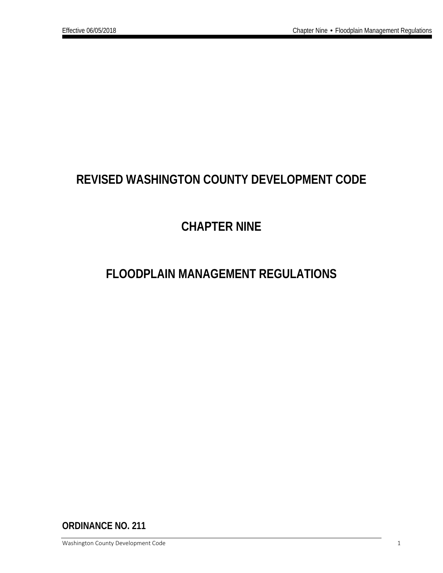# **REVISED WASHINGTON COUNTY DEVELOPMENT CODE**

# **CHAPTER NINE**

# **FLOODPLAIN MANAGEMENT REGULATIONS**

**ORDINANCE NO. 211**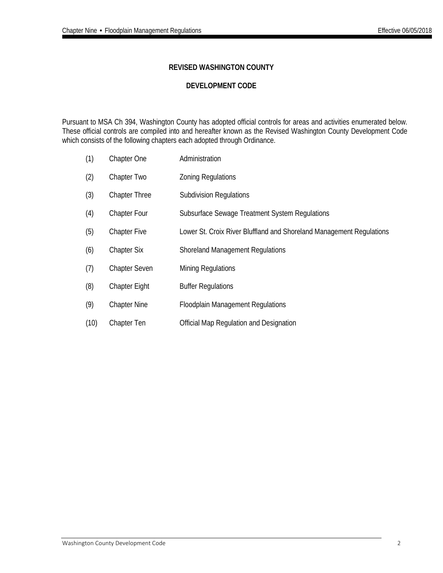#### **REVISED WASHINGTON COUNTY**

#### **DEVELOPMENT CODE**

Pursuant to MSA Ch 394, Washington County has adopted official controls for areas and activities enumerated below. These official controls are compiled into and hereafter known as the Revised Washington County Development Code which consists of the following chapters each adopted through Ordinance.

- (1) Chapter One Administration
- (2) Chapter Two Zoning Regulations
- (3) Chapter Three Subdivision Regulations
- (4) Chapter Four Subsurface Sewage Treatment System Regulations
- (5) Chapter Five Lower St. Croix River Bluffland and Shoreland Management Regulations
- (6) Chapter Six Shoreland Management Regulations
- (7) Chapter Seven Mining Regulations
- (8) Chapter Eight Buffer Regulations
- (9) Chapter Nine Floodplain Management Regulations
- (10) Chapter Ten Official Map Regulation and Designation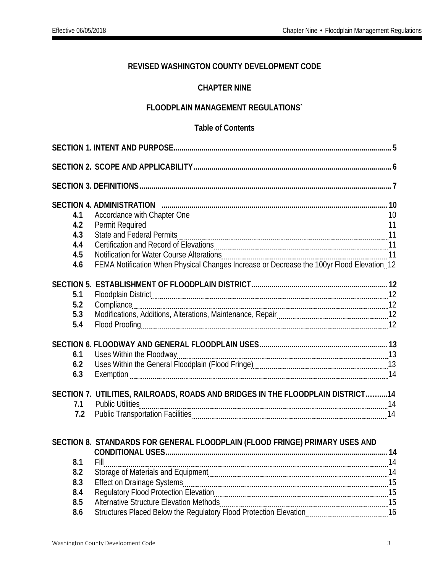### **REVISED WASHINGTON COUNTY DEVELOPMENT CODE**

#### **CHAPTER NINE**

#### **FLOODPLAIN MANAGEMENT REGULATIONS`**

#### **Table of Contents**

| 4.1        |                                                                                           |  |
|------------|-------------------------------------------------------------------------------------------|--|
| 4.2        |                                                                                           |  |
| 4.3        |                                                                                           |  |
| 4.4        |                                                                                           |  |
| 4.5        |                                                                                           |  |
| 4.6        | FEMA Notification When Physical Changes Increase or Decrease the 100yr Flood Elevation 12 |  |
|            |                                                                                           |  |
|            |                                                                                           |  |
| 5.1<br>5.2 |                                                                                           |  |
| 5.3        |                                                                                           |  |
| 5.4        |                                                                                           |  |
|            |                                                                                           |  |
|            |                                                                                           |  |
| 6.1        |                                                                                           |  |
| 6.2        |                                                                                           |  |
| 6.3        |                                                                                           |  |
|            |                                                                                           |  |
|            | SECTION 7. UTILITIES, RAILROADS, ROADS AND BRIDGES IN THE FLOODPLAIN DISTRICT14           |  |
| 7.1        |                                                                                           |  |
| 7.2        |                                                                                           |  |
|            |                                                                                           |  |
|            | SECTION 8. STANDARDS FOR GENERAL FLOODPLAIN (FLOOD FRINGE) PRIMARY USES AND               |  |
|            |                                                                                           |  |
| 8.1        | Fill                                                                                      |  |
| 8.2        |                                                                                           |  |
| 8.3        |                                                                                           |  |
| 8.4        |                                                                                           |  |
| 8.5        |                                                                                           |  |
| 8.6        |                                                                                           |  |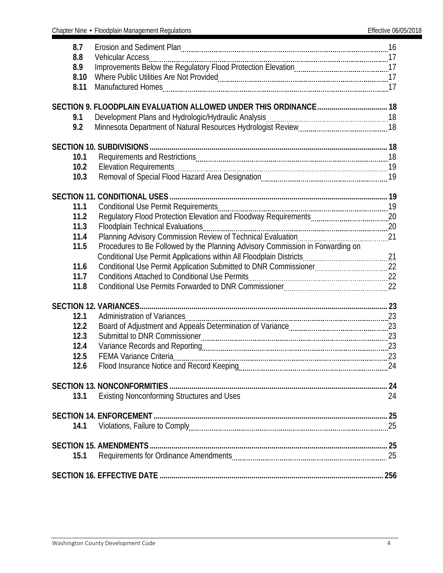| 8.7<br>8.8<br>8.9<br>8.10<br>8.11 | Erosion and Sediment Plan [100] The Content of Trosion and Sediment Plan [100] The Content Content of Trosian Inc. |    |
|-----------------------------------|--------------------------------------------------------------------------------------------------------------------|----|
|                                   |                                                                                                                    |    |
| 9.1<br>9.2                        |                                                                                                                    |    |
|                                   |                                                                                                                    |    |
| 10.1                              |                                                                                                                    |    |
| 10.2                              |                                                                                                                    |    |
| 10.3                              |                                                                                                                    |    |
|                                   |                                                                                                                    |    |
| 11.1                              |                                                                                                                    |    |
| 11.2                              |                                                                                                                    |    |
| 11.3                              |                                                                                                                    |    |
| 11.4                              |                                                                                                                    |    |
| 11.5                              | Procedures to Be Followed by the Planning Advisory Commission in Forwarding on                                     |    |
|                                   |                                                                                                                    |    |
| 11.6                              |                                                                                                                    |    |
| 11.7                              |                                                                                                                    |    |
| 11.8                              |                                                                                                                    |    |
|                                   |                                                                                                                    |    |
| 12.1                              |                                                                                                                    |    |
| 12.2                              |                                                                                                                    |    |
| 12.3                              |                                                                                                                    |    |
| 12.4                              |                                                                                                                    |    |
| 12.5                              |                                                                                                                    |    |
| 12.6                              |                                                                                                                    |    |
|                                   |                                                                                                                    |    |
| 13.1                              | <b>Existing Nonconforming Structures and Uses</b>                                                                  | 24 |
|                                   |                                                                                                                    |    |
|                                   |                                                                                                                    |    |
| 14.1                              |                                                                                                                    |    |
|                                   |                                                                                                                    |    |
|                                   |                                                                                                                    |    |
| 15.1                              |                                                                                                                    |    |
|                                   |                                                                                                                    |    |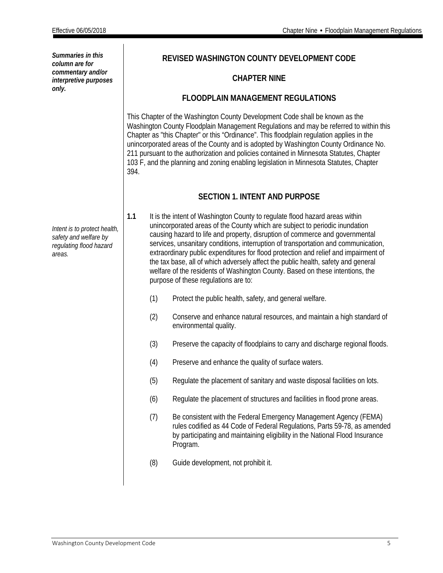*Summaries in this column are for commentary and/or interpretive purposes only.*

*Intent is to protect health, safety and welfare by regulating flood hazard areas.*

#### **REVISED WASHINGTON COUNTY DEVELOPMENT CODE**

#### **CHAPTER NINE**

#### **FLOODPLAIN MANAGEMENT REGULATIONS**

This Chapter of the Washington County Development Code shall be known as the Washington County Floodplain Management Regulations and may be referred to within this Chapter as "this Chapter" or this "Ordinance". This floodplain regulation applies in the unincorporated areas of the County and is adopted by Washington County Ordinance No. 211 pursuant to the authorization and policies contained in Minnesota Statutes, Chapter 103 F, and the planning and zoning enabling legislation in Minnesota Statutes, Chapter 394.

#### **SECTION 1. INTENT AND PURPOSE**

- <span id="page-5-0"></span>**1.1** It is the intent of Washington County to regulate flood hazard areas within unincorporated areas of the County which are subject to periodic inundation causing hazard to life and property, disruption of commerce and governmental services, unsanitary conditions, interruption of transportation and communication, extraordinary public expenditures for flood protection and relief and impairment of the tax base, all of which adversely affect the public health, safety and general welfare of the residents of Washington County. Based on these intentions, the purpose of these regulations are to:
	- (1) Protect the public health, safety, and general welfare.
	- (2) Conserve and enhance natural resources, and maintain a high standard of environmental quality.
	- (3) Preserve the capacity of floodplains to carry and discharge regional floods.
	- (4) Preserve and enhance the quality of surface waters.
	- (5) Regulate the placement of sanitary and waste disposal facilities on lots.
	- (6) Regulate the placement of structures and facilities in flood prone areas.
	- (7) Be consistent with the Federal Emergency Management Agency (FEMA) rules codified as 44 Code of Federal Regulations, Parts 59-78, as amended by participating and maintaining eligibility in the National Flood Insurance Program.
	- (8) Guide development, not prohibit it.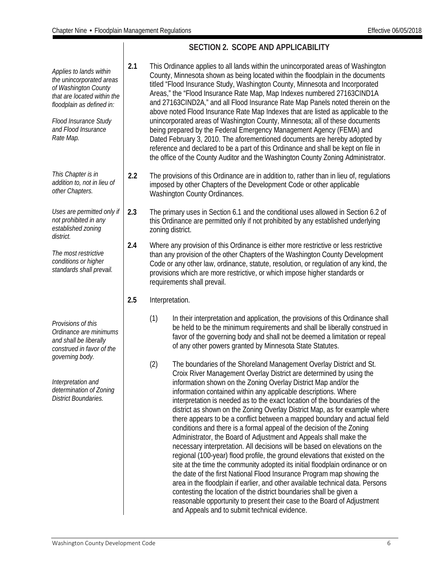|                                                                                                                                                                                                      |     | <b>SECTION 2. SCOPE AND APPLICABILITY</b>                                                                                                                                                                                                                                                                                                                                                                                                                                                                                                                                                                                                                                                                                                                                                                                                                                                                                                                                                                                                                                                                                                                                                                                                                                                    |
|------------------------------------------------------------------------------------------------------------------------------------------------------------------------------------------------------|-----|----------------------------------------------------------------------------------------------------------------------------------------------------------------------------------------------------------------------------------------------------------------------------------------------------------------------------------------------------------------------------------------------------------------------------------------------------------------------------------------------------------------------------------------------------------------------------------------------------------------------------------------------------------------------------------------------------------------------------------------------------------------------------------------------------------------------------------------------------------------------------------------------------------------------------------------------------------------------------------------------------------------------------------------------------------------------------------------------------------------------------------------------------------------------------------------------------------------------------------------------------------------------------------------------|
| Applies to lands within<br>the unincorporated areas<br>of Washington County<br>that are located within the<br>floodplain as defined in:<br>Flood Insurance Study<br>and Flood Insurance<br>Rate Map. | 2.1 | This Ordinance applies to all lands within the unincorporated areas of Washington<br>County, Minnesota shown as being located within the floodplain in the documents<br>titled "Flood Insurance Study, Washington County, Minnesota and Incorporated<br>Areas," the "Flood Insurance Rate Map, Map Indexes numbered 27163CIND1A<br>and 27163CIND2A," and all Flood Insurance Rate Map Panels noted therein on the<br>above noted Flood Insurance Rate Map Indexes that are listed as applicable to the<br>unincorporated areas of Washington County, Minnesota; all of these documents<br>being prepared by the Federal Emergency Management Agency (FEMA) and<br>Dated February 3, 2010. The aforementioned documents are hereby adopted by<br>reference and declared to be a part of this Ordinance and shall be kept on file in<br>the office of the County Auditor and the Washington County Zoning Administrator.                                                                                                                                                                                                                                                                                                                                                                       |
| This Chapter is in<br>addition to, not in lieu of<br>other Chapters.                                                                                                                                 | 2.2 | The provisions of this Ordinance are in addition to, rather than in lieu of, regulations<br>imposed by other Chapters of the Development Code or other applicable<br>Washington County Ordinances.                                                                                                                                                                                                                                                                                                                                                                                                                                                                                                                                                                                                                                                                                                                                                                                                                                                                                                                                                                                                                                                                                           |
| Uses are permitted only if<br>not prohibited in any<br>established zoning<br>district.                                                                                                               | 2.3 | The primary uses in Section 6.1 and the conditional uses allowed in Section 6.2 of<br>this Ordinance are permitted only if not prohibited by any established underlying<br>zoning district.                                                                                                                                                                                                                                                                                                                                                                                                                                                                                                                                                                                                                                                                                                                                                                                                                                                                                                                                                                                                                                                                                                  |
| The most restrictive<br>conditions or higher<br>standards shall prevail.                                                                                                                             | 2.4 | Where any provision of this Ordinance is either more restrictive or less restrictive<br>than any provision of the other Chapters of the Washington County Development<br>Code or any other law, ordinance, statute, resolution, or regulation of any kind, the<br>provisions which are more restrictive, or which impose higher standards or<br>requirements shall prevail.                                                                                                                                                                                                                                                                                                                                                                                                                                                                                                                                                                                                                                                                                                                                                                                                                                                                                                                  |
|                                                                                                                                                                                                      | 2.5 | Interpretation.                                                                                                                                                                                                                                                                                                                                                                                                                                                                                                                                                                                                                                                                                                                                                                                                                                                                                                                                                                                                                                                                                                                                                                                                                                                                              |
| Provisions of this<br>Ordinance are minimums<br>and shall be liberally<br>construed in favor of the                                                                                                  |     | (1)<br>In their interpretation and application, the provisions of this Ordinance shall<br>be held to be the minimum requirements and shall be liberally construed in<br>favor of the governing body and shall not be deemed a limitation or repeal<br>of any other powers granted by Minnesota State Statutes.                                                                                                                                                                                                                                                                                                                                                                                                                                                                                                                                                                                                                                                                                                                                                                                                                                                                                                                                                                               |
| governing body.<br>Interpretation and<br>determination of Zoning<br><b>District Boundaries.</b>                                                                                                      |     | (2)<br>The boundaries of the Shoreland Management Overlay District and St.<br>Croix River Management Overlay District are determined by using the<br>information shown on the Zoning Overlay District Map and/or the<br>information contained within any applicable descriptions. Where<br>interpretation is needed as to the exact location of the boundaries of the<br>district as shown on the Zoning Overlay District Map, as for example where<br>there appears to be a conflict between a mapped boundary and actual field<br>conditions and there is a formal appeal of the decision of the Zoning<br>Administrator, the Board of Adjustment and Appeals shall make the<br>necessary interpretation. All decisions will be based on elevations on the<br>regional (100-year) flood profile, the ground elevations that existed on the<br>site at the time the community adopted its initial floodplain ordinance or on<br>the date of the first National Flood Insurance Program map showing the<br>area in the floodplain if earlier, and other available technical data. Persons<br>contesting the location of the district boundaries shall be given a<br>reasonable opportunity to present their case to the Board of Adjustment<br>and Appeals and to submit technical evidence. |

#### <span id="page-6-0"></span>**SECTION 2. SCOPE AND APPLICABILITY**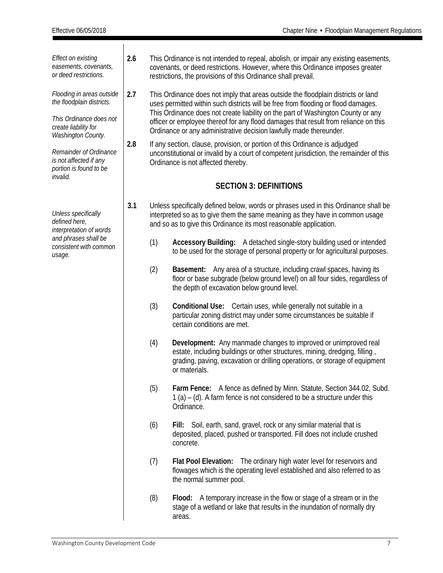<span id="page-7-0"></span>

| <b>Effect on existing</b><br>easements, covenants,<br>or deed restrictions.                               | 2.6 | This Ordinance is not intended to repeal, abolish, or impair any existing easements,<br>covenants, or deed restrictions. However, where this Ordinance imposes greater<br>restrictions, the provisions of this Ordinance shall prevail. |                                                                                                                                                                                                                                                                                                                                                   |  |  |  |  |
|-----------------------------------------------------------------------------------------------------------|-----|-----------------------------------------------------------------------------------------------------------------------------------------------------------------------------------------------------------------------------------------|---------------------------------------------------------------------------------------------------------------------------------------------------------------------------------------------------------------------------------------------------------------------------------------------------------------------------------------------------|--|--|--|--|
| Flooding in areas outside<br>the floodplain districts.<br>This Ordinance does not<br>create liability for | 2.7 |                                                                                                                                                                                                                                         | This Ordinance does not imply that areas outside the floodplain districts or land<br>uses permitted within such districts will be free from flooding or flood damages.<br>This Ordinance does not create liability on the part of Washington County or any<br>officer or employee thereof for any flood damages that result from reliance on this |  |  |  |  |
| Washington County.                                                                                        |     | Ordinance or any administrative decision lawfully made thereunder.                                                                                                                                                                      |                                                                                                                                                                                                                                                                                                                                                   |  |  |  |  |
| Remainder of Ordinance<br>is not affected if any<br>portion is found to be<br>invalid.                    | 2.8 | If any section, clause, provision, or portion of this Ordinance is adjudged<br>unconstitutional or invalid by a court of competent jurisdiction, the remainder of this<br>Ordinance is not affected thereby.                            |                                                                                                                                                                                                                                                                                                                                                   |  |  |  |  |
|                                                                                                           |     |                                                                                                                                                                                                                                         | <b>SECTION 3: DEFINITIONS</b>                                                                                                                                                                                                                                                                                                                     |  |  |  |  |
| Unless specifically<br>defined here,<br>interpretation of words                                           | 3.1 |                                                                                                                                                                                                                                         | Unless specifically defined below, words or phrases used in this Ordinance shall be<br>interpreted so as to give them the same meaning as they have in common usage<br>and so as to give this Ordinance its most reasonable application.                                                                                                          |  |  |  |  |
| and phrases shall be<br>consistent with common<br>usage.                                                  |     | (1)                                                                                                                                                                                                                                     | Accessory Building: A detached single-story building used or intended<br>to be used for the storage of personal property or for agricultural purposes.                                                                                                                                                                                            |  |  |  |  |
|                                                                                                           |     | (2)                                                                                                                                                                                                                                     | <b>Basement:</b> Any area of a structure, including crawl spaces, having its<br>floor or base subgrade (below ground level) on all four sides, regardless of<br>the depth of excavation below ground level.                                                                                                                                       |  |  |  |  |
|                                                                                                           |     | (3)                                                                                                                                                                                                                                     | Conditional Use: Certain uses, while generally not suitable in a<br>particular zoning district may under some circumstances be suitable if<br>certain conditions are met.                                                                                                                                                                         |  |  |  |  |
|                                                                                                           |     | (4)                                                                                                                                                                                                                                     | Development: Any manmade changes to improved or unimproved real<br>estate, including buildings or other structures, mining, dredging, filling,<br>grading, paving, excavation or drilling operations, or storage of equipment<br>or materials.                                                                                                    |  |  |  |  |
|                                                                                                           |     | (5)                                                                                                                                                                                                                                     | A fence as defined by Minn. Statute, Section 344.02, Subd.<br>Farm Fence:<br>$1$ (a) – (d). A farm fence is not considered to be a structure under this<br>Ordinance.                                                                                                                                                                             |  |  |  |  |
|                                                                                                           |     | (6)                                                                                                                                                                                                                                     | Fill: Soil, earth, sand, gravel, rock or any similar material that is<br>deposited, placed, pushed or transported. Fill does not include crushed<br>concrete.                                                                                                                                                                                     |  |  |  |  |
|                                                                                                           |     | (7)                                                                                                                                                                                                                                     | <b>Flat Pool Elevation:</b> The ordinary high water level for reservoirs and<br>flowages which is the operating level established and also referred to as<br>the normal summer pool.                                                                                                                                                              |  |  |  |  |
|                                                                                                           |     | (8)                                                                                                                                                                                                                                     | Flood: A temporary increase in the flow or stage of a stream or in the<br>stage of a wetland or lake that results in the inundation of normally dry<br>areas.                                                                                                                                                                                     |  |  |  |  |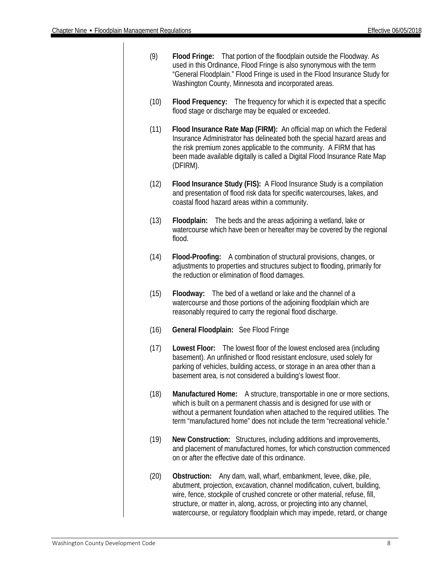| (9)  | Flood Fringe: That portion of the floodplain outside the Floodway. As<br>used in this Ordinance, Flood Fringe is also synonymous with the term<br>"General Floodplain." Flood Fringe is used in the Flood Insurance Study for<br>Washington County, Minnesota and incorporated areas.                                                                                                     |
|------|-------------------------------------------------------------------------------------------------------------------------------------------------------------------------------------------------------------------------------------------------------------------------------------------------------------------------------------------------------------------------------------------|
| (10) | Flood Frequency: The frequency for which it is expected that a specific<br>flood stage or discharge may be equaled or exceeded.                                                                                                                                                                                                                                                           |
| (11) | Flood Insurance Rate Map (FIRM): An official map on which the Federal<br>Insurance Administrator has delineated both the special hazard areas and<br>the risk premium zones applicable to the community. A FIRM that has<br>been made available digitally is called a Digital Flood Insurance Rate Map<br>(DFIRM).                                                                        |
| (12) | Flood Insurance Study (FIS): A Flood Insurance Study is a compilation<br>and presentation of flood risk data for specific watercourses, lakes, and<br>coastal flood hazard areas within a community.                                                                                                                                                                                      |
| (13) | Floodplain: The beds and the areas adjoining a wetland, lake or<br>watercourse which have been or hereafter may be covered by the regional<br>flood.                                                                                                                                                                                                                                      |
| (14) | Flood-Proofing: A combination of structural provisions, changes, or<br>adjustments to properties and structures subject to flooding, primarily for<br>the reduction or elimination of flood damages.                                                                                                                                                                                      |
| (15) | Floodway: The bed of a wetland or lake and the channel of a<br>watercourse and those portions of the adjoining floodplain which are<br>reasonably required to carry the regional flood discharge.                                                                                                                                                                                         |
| (16) | General Floodplain: See Flood Fringe                                                                                                                                                                                                                                                                                                                                                      |
| (17) | Lowest Floor: The lowest floor of the lowest enclosed area (including<br>basement). An unfinished or flood resistant enclosure, used solely for<br>parking of vehicles, building access, or storage in an area other than a<br>basement area, is not considered a building's lowest floor.                                                                                                |
| (18) | Manufactured Home: A structure, transportable in one or more sections,<br>which is built on a permanent chassis and is designed for use with or<br>without a permanent foundation when attached to the required utilities. The<br>term "manufactured home" does not include the term "recreational vehicle."                                                                              |
| (19) | New Construction: Structures, including additions and improvements,<br>and placement of manufactured homes, for which construction commenced<br>on or after the effective date of this ordinance.                                                                                                                                                                                         |
| (20) | Any dam, wall, wharf, embankment, levee, dike, pile,<br>Obstruction:<br>abutment, projection, excavation, channel modification, culvert, building,<br>wire, fence, stockpile of crushed concrete or other material, refuse, fill,<br>structure, or matter in, along, across, or projecting into any channel,<br>watercourse, or regulatory floodplain which may impede, retard, or change |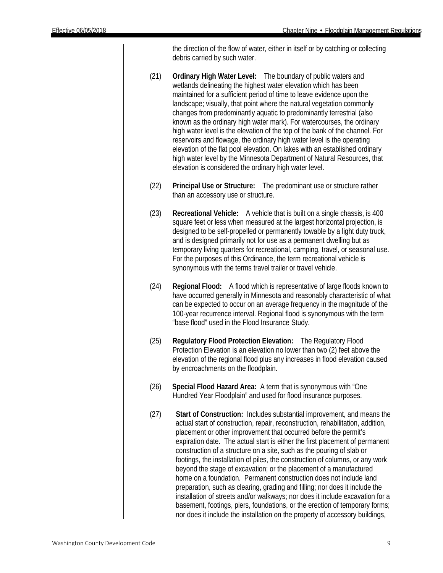the direction of the flow of water, either in itself or by catching or collecting debris carried by such water.

- (21) **Ordinary High Water Level:** The boundary of public waters and wetlands delineating the highest water elevation which has been maintained for a sufficient period of time to leave evidence upon the landscape; visually, that point where the natural vegetation commonly changes from predominantly aquatic to predominantly terrestrial (also known as the ordinary high water mark). For watercourses, the ordinary high water level is the elevation of the top of the bank of the channel. For reservoirs and flowage, the ordinary high water level is the operating elevation of the flat pool elevation. On lakes with an established ordinary high water level by the Minnesota Department of Natural Resources, that elevation is considered the ordinary high water level.
- (22) **Principal Use or Structure:** The predominant use or structure rather than an accessory use or structure.
- (23) **Recreational Vehicle:** A vehicle that is built on a single chassis, is 400 square feet or less when measured at the largest horizontal projection, is designed to be self-propelled or permanently towable by a light duty truck, and is designed primarily not for use as a permanent dwelling but as temporary living quarters for recreational, camping, travel, or seasonal use. For the purposes of this Ordinance, the term recreational vehicle is synonymous with the terms travel trailer or travel vehicle.
- (24) **Regional Flood:** A flood which is representative of large floods known to have occurred generally in Minnesota and reasonably characteristic of what can be expected to occur on an average frequency in the magnitude of the 100-year recurrence interval. Regional flood is synonymous with the term "base flood" used in the Flood Insurance Study.
- (25) **Regulatory Flood Protection Elevation:** The Regulatory Flood Protection Elevation is an elevation no lower than two (2) feet above the elevation of the regional flood plus any increases in flood elevation caused by encroachments on the floodplain.
- (26) **Special Flood Hazard Area:** A term that is synonymous with "One Hundred Year Floodplain" and used for flood insurance purposes.
- (27) **Start of Construction:** Includes substantial improvement, and means the actual start of construction, repair, reconstruction, rehabilitation, addition, placement or other improvement that occurred before the permit's expiration date. The actual start is either the first placement of permanent construction of a structure on a site, such as the pouring of slab or footings, the installation of piles, the construction of columns, or any work beyond the stage of excavation; or the placement of a manufactured home on a foundation. Permanent construction does not include land preparation, such as clearing, grading and filling; nor does it include the installation of streets and/or walkways; nor does it include excavation for a basement, footings, piers, foundations, or the erection of temporary forms; nor does it include the installation on the property of accessory buildings,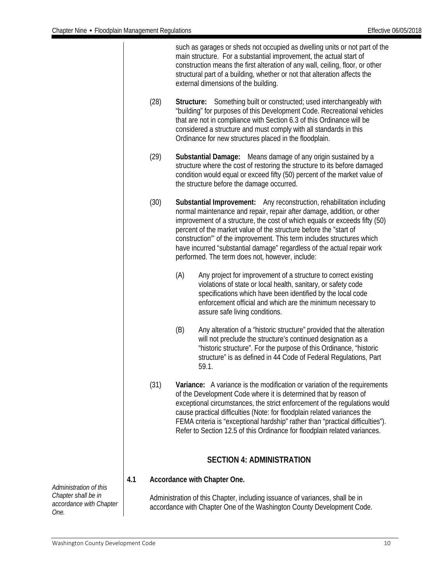|     |                                                                                                                                                        |            | such as garages or sheds not occupied as dwelling units or not part of the<br>main structure. For a substantial improvement, the actual start of<br>construction means the first alteration of any wall, ceiling, floor, or other<br>structural part of a building, whether or not that alteration affects the<br>external dimensions of the building.                                                                                                                                                       |  |  |  |  |
|-----|--------------------------------------------------------------------------------------------------------------------------------------------------------|------------|--------------------------------------------------------------------------------------------------------------------------------------------------------------------------------------------------------------------------------------------------------------------------------------------------------------------------------------------------------------------------------------------------------------------------------------------------------------------------------------------------------------|--|--|--|--|
|     | (28)                                                                                                                                                   | Structure: | Something built or constructed; used interchangeably with<br>"building" for purposes of this Development Code. Recreational vehicles<br>that are not in compliance with Section 6.3 of this Ordinance will be<br>considered a structure and must comply with all standards in this<br>Ordinance for new structures placed in the floodplain.                                                                                                                                                                 |  |  |  |  |
|     | (29)                                                                                                                                                   |            | Means damage of any origin sustained by a<br><b>Substantial Damage:</b><br>structure where the cost of restoring the structure to its before damaged<br>condition would equal or exceed fifty (50) percent of the market value of<br>the structure before the damage occurred.                                                                                                                                                                                                                               |  |  |  |  |
|     | (30)                                                                                                                                                   |            | Substantial Improvement:<br>Any reconstruction, rehabilitation including<br>normal maintenance and repair, repair after damage, addition, or other<br>improvement of a structure, the cost of which equals or exceeds fifty (50)<br>percent of the market value of the structure before the "start of<br>construction" of the improvement. This term includes structures which<br>have incurred "substantial damage" regardless of the actual repair work<br>performed. The term does not, however, include: |  |  |  |  |
|     |                                                                                                                                                        | (A)        | Any project for improvement of a structure to correct existing<br>violations of state or local health, sanitary, or safety code<br>specifications which have been identified by the local code<br>enforcement official and which are the minimum necessary to<br>assure safe living conditions.                                                                                                                                                                                                              |  |  |  |  |
|     |                                                                                                                                                        | (B)        | Any alteration of a "historic structure" provided that the alteration<br>will not preclude the structure's continued designation as a<br>"historic structure". For the purpose of this Ordinance, "historic<br>structure" is as defined in 44 Code of Federal Regulations, Part<br>59.1.                                                                                                                                                                                                                     |  |  |  |  |
|     | (31)                                                                                                                                                   |            | Variance: A variance is the modification or variation of the requirements<br>of the Development Code where it is determined that by reason of<br>exceptional circumstances, the strict enforcement of the regulations would<br>cause practical difficulties (Note: for floodplain related variances the<br>FEMA criteria is "exceptional hardship" rather than "practical difficulties").<br>Refer to Section 12.5 of this Ordinance for floodplain related variances.                                       |  |  |  |  |
|     |                                                                                                                                                        |            | <b>SECTION 4: ADMINISTRATION</b>                                                                                                                                                                                                                                                                                                                                                                                                                                                                             |  |  |  |  |
| 4.1 |                                                                                                                                                        |            | Accordance with Chapter One.                                                                                                                                                                                                                                                                                                                                                                                                                                                                                 |  |  |  |  |
|     | Administration of this Chapter, including issuance of variances, shall be in<br>accordance with Chapter One of the Washington County Development Code. |            |                                                                                                                                                                                                                                                                                                                                                                                                                                                                                                              |  |  |  |  |

<span id="page-10-0"></span>*Administration of this Chapter shall be in accordance with Chapter One.*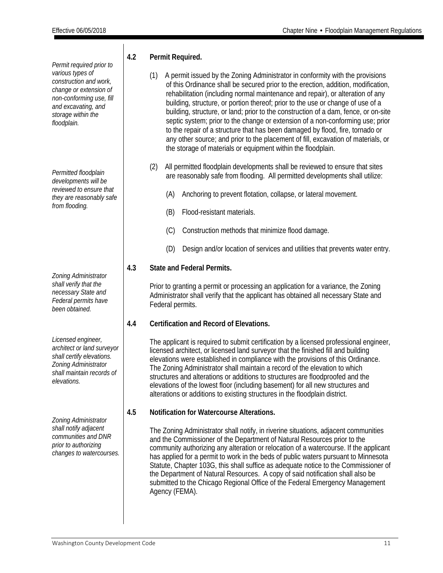*Permit required prior to various types of construction and work, change or extension of non-conforming use, fill and excavating, and storage within the floodplain.*

*Permitted floodplain developments will be reviewed to ensure that they are reasonably safe from flooding.*

*Zoning Administrator shall verify that the necessary State and Federal permits have been obtained.*

*Licensed engineer, architect or land surveyor shall certify elevations. Zoning Administrator shall maintain records of elevations.*

*Zoning Administrator shall notify adjacent communities and DNR prior to authorizing changes to watercourses.*

#### **4.2 Permit Required.**

- (1) A permit issued by the Zoning Administrator in conformity with the provisions of this Ordinance shall be secured prior to the erection, addition, modification, rehabilitation (including normal maintenance and repair), or alteration of any building, structure, or portion thereof; prior to the use or change of use of a building, structure, or land; prior to the construction of a dam, fence, or on-site septic system; prior to the change or extension of a non-conforming use; prior to the repair of a structure that has been damaged by flood, fire, tornado or any other source; and prior to the placement of fill, excavation of materials, or the storage of materials or equipment within the floodplain.
- (2) All permitted floodplain developments shall be reviewed to ensure that sites are reasonably safe from flooding. All permitted developments shall utilize:
	- (A) Anchoring to prevent flotation, collapse, or lateral movement.
	- (B) Flood-resistant materials.
	- (C) Construction methods that minimize flood damage.
	- (D) Design and/or location of services and utilities that prevents water entry.

#### **4.3 State and Federal Permits.**

Prior to granting a permit or processing an application for a variance, the Zoning Administrator shall verify that the applicant has obtained all necessary State and Federal permits.

#### **4.4 Certification and Record of Elevations.**

The applicant is required to submit certification by a licensed professional engineer, licensed architect, or licensed land surveyor that the finished fill and building elevations were established in compliance with the provisions of this Ordinance. The Zoning Administrator shall maintain a record of the elevation to which structures and alterations or additions to structures are floodproofed and the elevations of the lowest floor (including basement) for all new structures and alterations or additions to existing structures in the floodplain district.

#### **4.5 Notification for Watercourse Alterations.**

The Zoning Administrator shall notify, in riverine situations, adjacent communities and the Commissioner of the Department of Natural Resources prior to the community authorizing any alteration or relocation of a watercourse. If the applicant has applied for a permit to work in the beds of public waters pursuant to Minnesota Statute, Chapter 103G, this shall suffice as adequate notice to the Commissioner of the Department of Natural Resources. A copy of said notification shall also be submitted to the Chicago Regional Office of the Federal Emergency Management Agency (FEMA).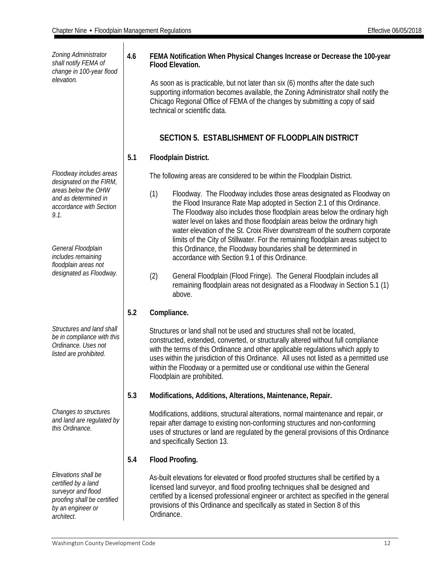*Zoning Administrator shall notify FEMA of change in 100-year flood elevation. Floodway includes areas designated on the FIRM, areas below the OHW and as determined in accordance with Section 9.1. General Floodplain includes remaining floodplain areas not designated as Floodway. Structures and land shall be in compliance with this Ordinance. Uses not listed are prohibited. Changes to structures and land are regulated by this Ordinance. Elevations shall be certified by a land surveyor and flood proofing shall be certified by an engineer or architect.*

#### **4.6 FEMA Notification When Physical Changes Increase or Decrease the 100-year Flood Elevation.**

 As soon as is practicable, but not later than six (6) months after the date such supporting information becomes available, the Zoning Administrator shall notify the Chicago Regional Office of FEMA of the changes by submitting a copy of said technical or scientific data.

#### **SECTION 5. ESTABLISHMENT OF FLOODPLAIN DISTRICT**

#### <span id="page-12-0"></span>**5.1 Floodplain District.**

The following areas are considered to be within the Floodplain District.

- (1) Floodway. The Floodway includes those areas designated as Floodway on the Flood Insurance Rate Map adopted in Section 2.1 of this Ordinance. The Floodway also includes those floodplain areas below the ordinary high water level on lakes and those floodplain areas below the ordinary high water elevation of the St. Croix River downstream of the southern corporate limits of the City of Stillwater. For the remaining floodplain areas subject to this Ordinance, the Floodway boundaries shall be determined in accordance with Section 9.1 of this Ordinance.
- (2) General Floodplain (Flood Fringe). The General Floodplain includes all remaining floodplain areas not designated as a Floodway in Section 5.1 (1) above.

#### **5.2 Compliance.**

 Structures or land shall not be used and structures shall not be located, constructed, extended, converted, or structurally altered without full compliance with the terms of this Ordinance and other applicable regulations which apply to uses within the jurisdiction of this Ordinance. All uses not listed as a permitted use within the Floodway or a permitted use or conditional use within the General Floodplain are prohibited.

#### **5.3 Modifications, Additions, Alterations, Maintenance, Repair.**

 Modifications, additions, structural alterations, normal maintenance and repair, or repair after damage to existing non-conforming structures and non-conforming uses of structures or land are regulated by the general provisions of this Ordinance and specifically Section 13.

#### **5.4 Flood Proofing.**

 As-built elevations for elevated or flood proofed structures shall be certified by a licensed land surveyor, and flood proofing techniques shall be designed and certified by a licensed professional engineer or architect as specified in the general provisions of this Ordinance and specifically as stated in Section 8 of this Ordinance.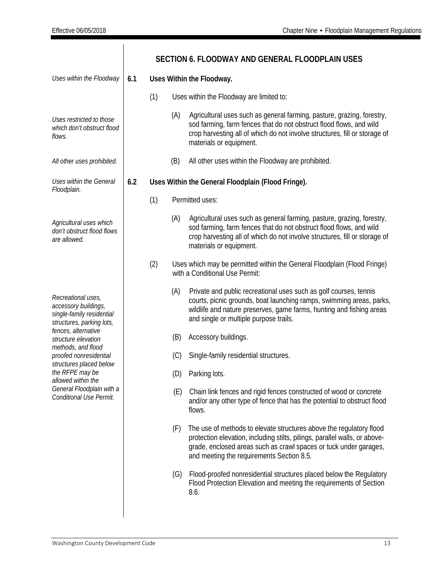<span id="page-13-0"></span>

|                                                                                                      |     |     |     | SECTION 6. FLOODWAY AND GENERAL FLOODPLAIN USES                                                                                                                                                                                                                     |
|------------------------------------------------------------------------------------------------------|-----|-----|-----|---------------------------------------------------------------------------------------------------------------------------------------------------------------------------------------------------------------------------------------------------------------------|
| Uses within the Floodway                                                                             | 6.1 |     |     | Uses Within the Floodway.                                                                                                                                                                                                                                           |
|                                                                                                      |     | (1) |     | Uses within the Floodway are limited to:                                                                                                                                                                                                                            |
| Uses restricted to those<br>which don't obstruct flood<br>flows.                                     |     |     | (A) | Agricultural uses such as general farming, pasture, grazing, forestry,<br>sod farming, farm fences that do not obstruct flood flows, and wild<br>crop harvesting all of which do not involve structures, fill or storage of<br>materials or equipment.              |
| All other uses prohibited.                                                                           |     |     | (B) | All other uses within the Floodway are prohibited.                                                                                                                                                                                                                  |
| Uses within the General<br>Floodplain.                                                               | 6.2 |     |     | Uses Within the General Floodplain (Flood Fringe).                                                                                                                                                                                                                  |
|                                                                                                      |     | (1) |     | Permitted uses:                                                                                                                                                                                                                                                     |
| Agricultural uses which<br>don't obstruct flood flows<br>are allowed.                                |     |     | (A) | Agricultural uses such as general farming, pasture, grazing, forestry,<br>sod farming, farm fences that do not obstruct flood flows, and wild<br>crop harvesting all of which do not involve structures, fill or storage of<br>materials or equipment.              |
|                                                                                                      |     | (2) |     | Uses which may be permitted within the General Floodplain (Flood Fringe)<br>with a Conditional Use Permit:                                                                                                                                                          |
| Recreational uses,<br>accessory buildings,<br>single-family residential<br>structures, parking lots, |     |     | (A) | Private and public recreational uses such as golf courses, tennis<br>courts, picnic grounds, boat launching ramps, swimming areas, parks,<br>wildlife and nature preserves, game farms, hunting and fishing areas<br>and single or multiple purpose trails.         |
| fences, alternative<br>structure elevation                                                           |     |     | (B) | Accessory buildings.                                                                                                                                                                                                                                                |
| methods, and flood<br>proofed nonresidential<br>structures placed below                              |     |     | (C) | Single-family residential structures.                                                                                                                                                                                                                               |
| the RFPE may be<br>allowed within the                                                                |     |     | (D) | Parking lots.                                                                                                                                                                                                                                                       |
| General Floodplain with a<br>Conditional Use Permit.                                                 |     |     | (E) | Chain link fences and rigid fences constructed of wood or concrete<br>and/or any other type of fence that has the potential to obstruct flood<br>flows.                                                                                                             |
|                                                                                                      |     |     | (F) | The use of methods to elevate structures above the regulatory flood<br>protection elevation, including stilts, pilings, parallel walls, or above-<br>grade, enclosed areas such as crawl spaces or tuck under garages,<br>and meeting the requirements Section 8.5. |
|                                                                                                      |     |     | (G) | Flood-proofed nonresidential structures placed below the Regulatory<br>Flood Protection Elevation and meeting the requirements of Section<br>8.6.                                                                                                                   |
|                                                                                                      |     |     |     |                                                                                                                                                                                                                                                                     |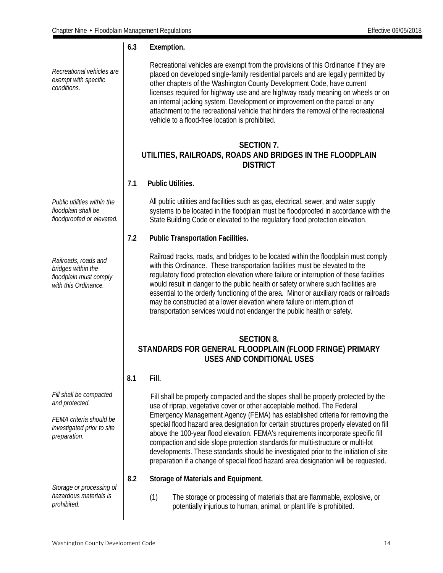<span id="page-14-1"></span><span id="page-14-0"></span>*Recreational vehicles are exempt with specific conditions.* **6.3 Exemption.**  Recreational vehicles are exempt from the provisions of this Ordinance if they are placed on developed single-family residential parcels and are legally permitted by other chapters of the Washington County Development Code, have current licenses required for highway use and are highway ready meaning on wheels or on an internal jacking system. Development or improvement on the parcel or any attachment to the recreational vehicle that hinders the removal of the recreational vehicle to a flood-free location is prohibited. *Public utilities within the floodplain shall be floodproofed or elevated. Railroads, roads and bridges within the floodplain must comply with this Ordinance.* **SECTION 7. UTILITIES, RAILROADS, ROADS AND BRIDGES IN THE FLOODPLAIN DISTRICT 7.1 Public Utilities.** All public utilities and facilities such as gas, electrical, sewer, and water supply systems to be located in the floodplain must be floodproofed in accordance with the State Building Code or elevated to the regulatory flood protection elevation. **7.2 Public Transportation Facilities.** Railroad tracks, roads, and bridges to be located within the floodplain must comply with this Ordinance. These transportation facilities must be elevated to the regulatory flood protection elevation where failure or interruption of these facilities would result in danger to the public health or safety or where such facilities are essential to the orderly functioning of the area. Minor or auxiliary roads or railroads may be constructed at a lower elevation where failure or interruption of transportation services would not endanger the public health or safety. **SECTION 8. STANDARDS FOR GENERAL FLOODPLAIN (FLOOD FRINGE) PRIMARY USES AND CONDITIONAL USES** *Fill shall be compacted and protected. FEMA criteria should be investigated prior to site preparation.* **8.1 Fill.** Fill shall be properly compacted and the slopes shall be properly protected by the use of riprap, vegetative cover or other acceptable method. The Federal Emergency Management Agency (FEMA) has established criteria for removing the special flood hazard area designation for certain structures properly elevated on fill above the 100-year flood elevation. FEMA's requirements incorporate specific fill compaction and side slope protection standards for multi-structure or multi-lot developments. These standards should be investigated prior to the initiation of site preparation if a change of special flood hazard area designation will be requested. *Storage or processing of hazardous materials is prohibited.* **8.2 Storage of Materials and Equipment.** (1) The storage or processing of materials that are flammable, explosive, or potentially injurious to human, animal, or plant life is prohibited.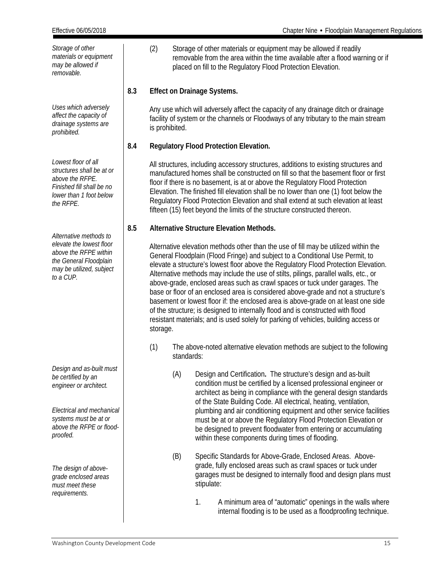*Storage of other materials or equipment may be allowed if removable.* (2) Storage of other materials or equipment may be allowed if readily removable from the area within the time available after a flood warning or if placed on fill to the Regulatory Flood Protection Elevation. *Uses which adversely affect the capacity of drainage systems are prohibited.* **8.3 Effect on Drainage Systems.** Any use which will adversely affect the capacity of any drainage ditch or drainage facility of system or the channels or Floodways of any tributary to the main stream is prohibited. *Lowest floor of all structures shall be at or above the RFPE. Finished fill shall be no lower than 1 foot below the RFPE.* **8.4 Regulatory Flood Protection Elevation.** All structures, including accessory structures, additions to existing structures and manufactured homes shall be constructed on fill so that the basement floor or first floor if there is no basement, is at or above the Regulatory Flood Protection Elevation. The finished fill elevation shall be no lower than one (1) foot below the Regulatory Flood Protection Elevation and shall extend at such elevation at least fifteen (15) feet beyond the limits of the structure constructed thereon. *Alternative methods to elevate the lowest floor above the RFPE within the General Floodplain may be utilized, subject to a CUP. Design and as-built must be certified by an engineer or architect. Electrical and mechanical systems must be at or above the RFPE or floodproofed. The design of abovegrade enclosed areas must meet these requirements.* **8.5 Alternative Structure Elevation Methods.** Alternative elevation methods other than the use of fill may be utilized within the General Floodplain (Flood Fringe) and subject to a Conditional Use Permit, to elevate a structure's lowest floor above the Regulatory Flood Protection Elevation. Alternative methods may include the use of stilts, pilings, parallel walls, etc., or above-grade, enclosed areas such as crawl spaces or tuck under garages. The base or floor of an enclosed area is considered above-grade and not a structure's basement or lowest floor if: the enclosed area is above-grade on at least one side of the structure; is designed to internally flood and is constructed with flood resistant materials; and is used solely for parking of vehicles, building access or storage. (1) The above-noted alternative elevation methods are subject to the following standards: (A) Design and Certification**.** The structure's design and as-built condition must be certified by a licensed professional engineer or architect as being in compliance with the general design standards of the State Building Code. All electrical, heating, ventilation, plumbing and air conditioning equipment and other service facilities must be at or above the Regulatory Flood Protection Elevation or be designed to prevent floodwater from entering or accumulating within these components during times of flooding. (B) Specific Standards for Above-Grade, Enclosed Areas. Abovegrade, fully enclosed areas such as crawl spaces or tuck under garages must be designed to internally flood and design plans must stipulate: 1. A minimum area of "automatic" openings in the walls where internal flooding is to be used as a floodproofing technique.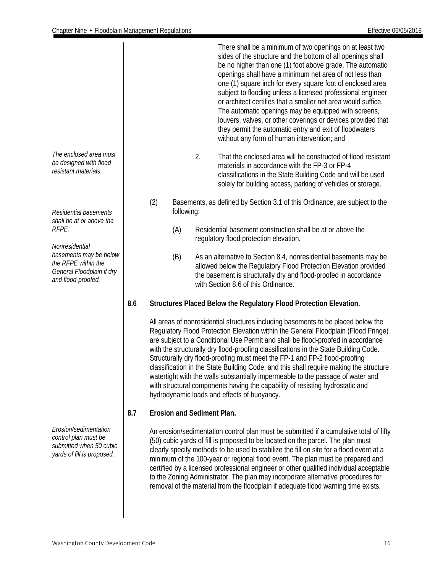*The enclosed area must*  There shall be a minimum of two openings on at least two sides of the structure and the bottom of all openings shall be no higher than one (1) foot above grade. The automatic openings shall have a minimum net area of not less than one (1) square inch for every square foot of enclosed area subject to flooding unless a licensed professional engineer or architect certifies that a smaller net area would suffice. The automatic openings may be equipped with screens, louvers, valves, or other coverings or devices provided that they permit the automatic entry and exit of floodwaters without any form of human intervention; and 2. That the enclosed area will be constructed of flood resistant materials in accordance with the FP-3 or FP-4 classifications in the State Building Code and will be used solely for building access, parking of vehicles or storage. (2) Basements, as defined by Section 3.1 of this Ordinance, are subject to the following: (A) Residential basement construction shall be at or above the regulatory flood protection elevation. (B) As an alternative to Section 8.4, nonresidential basements may be allowed below the Regulatory Flood Protection Elevation provided the basement is structurally dry and flood-proofed in accordance with Section 8.6 of this Ordinance. **8.6 Structures Placed Below the Regulatory Flood Protection Elevation.** All areas of nonresidential structures including basements to be placed below the Regulatory Flood Protection Elevation within the General Floodplain (Flood Fringe) are subject to a Conditional Use Permit and shall be flood-proofed in accordance with the structurally dry flood-proofing classifications in the State Building Code. Structurally dry flood-proofing must meet the FP-1 and FP-2 flood-proofing classification in the State Building Code, and this shall require making the structure watertight with the walls substantially impermeable to the passage of water and with structural components having the capability of resisting hydrostatic and hydrodynamic loads and effects of buoyancy. **8.7 Erosion and Sediment Plan.** An erosion/sedimentation control plan must be submitted if a cumulative total of fifty (50) cubic yards of fill is proposed to be located on the parcel. The plan must clearly specify methods to be used to stabilize the fill on site for a flood event at a

minimum of the 100-year or regional flood event. The plan must be prepared and certified by a licensed professional engineer or other qualified individual acceptable to the Zoning Administrator. The plan may incorporate alternative procedures for removal of the material from the floodplain if adequate flood warning time exists.

*be designed with flood resistant materials.*

*Residential basements shall be at or above the RFPE.*

*Nonresidential basements may be below the RFPE within the General Floodplain if dry and flood-proofed.*

*Erosion/sedimentation control plan must be submitted when 50 cubic yards of fill is proposed.*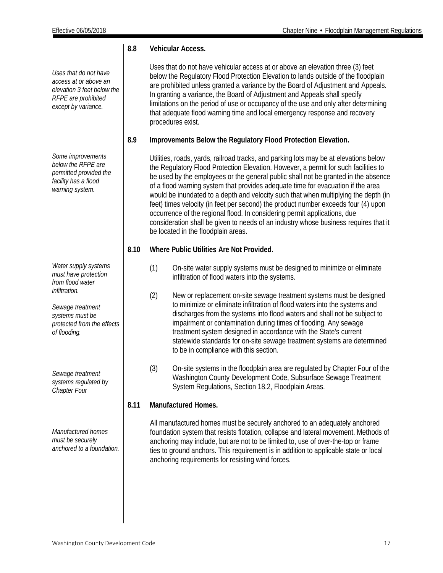*Uses that do not have access at or above an elevation 3 feet below the RFPE are prohibited except by variance.*

*Some improvements below the RFPE are permitted provided the facility has a flood warning system.*

*Water supply systems must have protection from flood water infiltration.*

*Sewage treatment systems must be protected from the effects of flooding.*

*Sewage treatment systems regulated by Chapter Four*

*Manufactured homes must be securely anchored to a foundation.*

#### **8.8 Vehicular Access.**

 Uses that do not have vehicular access at or above an elevation three (3) feet below the Regulatory Flood Protection Elevation to lands outside of the floodplain are prohibited unless granted a variance by the Board of Adjustment and Appeals. In granting a variance, the Board of Adjustment and Appeals shall specify limitations on the period of use or occupancy of the use and only after determining that adequate flood warning time and local emergency response and recovery procedures exist.

**8.9 Improvements Below the Regulatory Flood Protection Elevation.**

 Utilities, roads, yards, railroad tracks, and parking lots may be at elevations below the Regulatory Flood Protection Elevation. However, a permit for such facilities to be used by the employees or the general public shall not be granted in the absence of a flood warning system that provides adequate time for evacuation if the area would be inundated to a depth and velocity such that when multiplying the depth (in feet) times velocity (in feet per second) the product number exceeds four (4) upon occurrence of the regional flood. In considering permit applications, due consideration shall be given to needs of an industry whose business requires that it be located in the floodplain areas.

#### **8.10 Where Public Utilities Are Not Provided.**

- (1) On-site water supply systems must be designed to minimize or eliminate infiltration of flood waters into the systems.
- (2) New or replacement on-site sewage treatment systems must be designed to minimize or eliminate infiltration of flood waters into the systems and discharges from the systems into flood waters and shall not be subject to impairment or contamination during times of flooding. Any sewage treatment system designed in accordance with the State's current statewide standards for on-site sewage treatment systems are determined to be in compliance with this section.
- (3) On-site systems in the floodplain area are regulated by Chapter Four of the Washington County Development Code, Subsurface Sewage Treatment System Regulations, Section 18.2, Floodplain Areas.

#### **8.11 Manufactured Homes.**

<span id="page-17-0"></span>All manufactured homes must be securely anchored to an adequately anchored foundation system that resists flotation, collapse and lateral movement. Methods of anchoring may include, but are not to be limited to, use of over-the-top or frame ties to ground anchors. This requirement is in addition to applicable state or local anchoring requirements for resisting wind forces.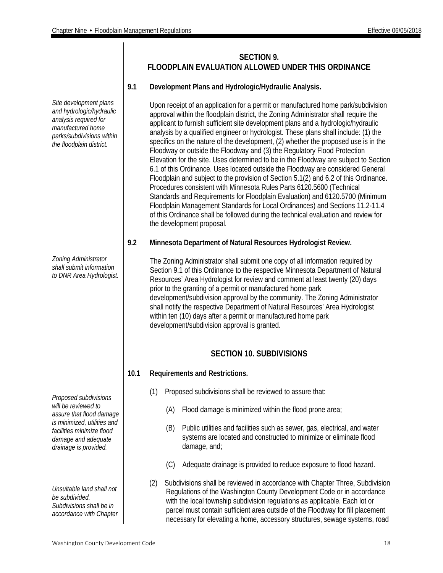**SECTION 9. FLOODPLAIN EVALUATION ALLOWED UNDER THIS ORDINANCE**

#### **9.1 Development Plans and Hydrologic/Hydraulic Analysis.**

Upon receipt of an application for a permit or manufactured home park/subdivision approval within the floodplain district, the Zoning Administrator shall require the applicant to furnish sufficient site development plans and a hydrologic/hydraulic analysis by a qualified engineer or hydrologist. These plans shall include: (1) the specifics on the nature of the development, (2) whether the proposed use is in the Floodway or outside the Floodway and (3) the Regulatory Flood Protection Elevation for the site. Uses determined to be in the Floodway are subject to Section 6.1 of this Ordinance. Uses located outside the Floodway are considered General Floodplain and subject to the provision of Section 5.1(2) and 6.2 of this Ordinance. Procedures consistent with Minnesota Rules Parts 6120.5600 (Technical Standards and Requirements for Floodplain Evaluation) and 6120.5700 (Minimum Floodplain Management Standards for Local Ordinances) and Sections 11.2-11.4 of this Ordinance shall be followed during the technical evaluation and review for the development proposal.

#### **9.2 Minnesota Department of Natural Resources Hydrologist Review.**

The Zoning Administrator shall submit one copy of all information required by Section 9.1 of this Ordinance to the respective Minnesota Department of Natural Resources' Area Hydrologist for review and comment at least twenty (20) days prior to the granting of a permit or manufactured home park development/subdivision approval by the community. The Zoning Administrator shall notify the respective Department of Natural Resources' Area Hydrologist within ten (10) days after a permit or manufactured home park development/subdivision approval is granted.

#### **SECTION 10. SUBDIVISIONS**

- <span id="page-18-0"></span>**10.1 Requirements and Restrictions.**
	- (1) Proposed subdivisions shall be reviewed to assure that:
		- (A) Flood damage is minimized within the flood prone area;
		- (B) Public utilities and facilities such as sewer, gas, electrical, and water systems are located and constructed to minimize or eliminate flood damage, and;
		- (C) Adequate drainage is provided to reduce exposure to flood hazard.
	- (2) Subdivisions shall be reviewed in accordance with Chapter Three, Subdivision Regulations of the Washington County Development Code or in accordance with the local township subdivision regulations as applicable. Each lot or parcel must contain sufficient area outside of the Floodway for fill placement necessary for elevating a home, accessory structures, sewage systems, road

*Site development plans and hydrologic/hydraulic analysis required for manufactured home parks/subdivisions within the floodplain district.*

*Zoning Administrator shall submit information to DNR Area Hydrologist.*

*Proposed subdivisions will be reviewed to assure that flood damage is minimized, utilities and facilities minimize flood damage and adequate drainage is provided.*

*Unsuitable land shall not be subdivided. Subdivisions shall be in accordance with Chapter*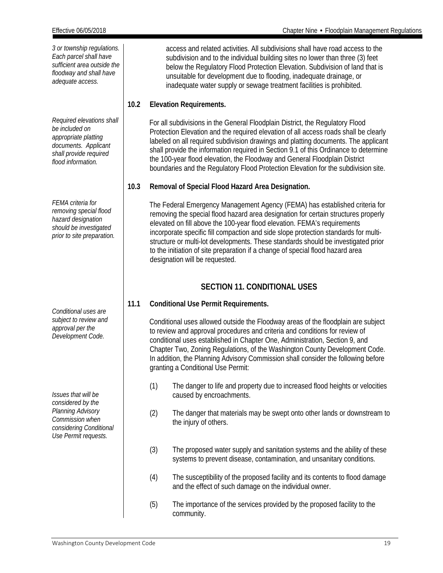*Required elevations shall be included on appropriate platting documents. Applicant shall provide required flood information.*

*FEMA criteria for removing special flood hazard designation should be investigated prior to site preparation.*

*Conditional uses are subject to review and approval per the Development Code.*

*Issues that will be considered by the Planning Advisory Commission when considering Conditional Use Permit requests.*

access and related activities. All subdivisions shall have road access to the subdivision and to the individual building sites no lower than three (3) feet below the Regulatory Flood Protection Elevation. Subdivision of land that is unsuitable for development due to flooding, inadequate drainage, or inadequate water supply or sewage treatment facilities is prohibited.

#### **10.2 Elevation Requirements.**

 For all subdivisions in the General Floodplain District, the Regulatory Flood Protection Elevation and the required elevation of all access roads shall be clearly labeled on all required subdivision drawings and platting documents. The applicant shall provide the information required in Section 9.1 of this Ordinance to determine the 100-year flood elevation, the Floodway and General Floodplain District boundaries and the Regulatory Flood Protection Elevation for the subdivision site.

#### **10.3 Removal of Special Flood Hazard Area Designation.**

 The Federal Emergency Management Agency (FEMA) has established criteria for removing the special flood hazard area designation for certain structures properly elevated on fill above the 100-year flood elevation. FEMA's requirements incorporate specific fill compaction and side slope protection standards for multistructure or multi-lot developments. These standards should be investigated prior to the initiation of site preparation if a change of special flood hazard area designation will be requested.

#### **SECTION 11. CONDITIONAL USES**

#### <span id="page-19-0"></span>**11.1 Conditional Use Permit Requirements.**

 Conditional uses allowed outside the Floodway areas of the floodplain are subject to review and approval procedures and criteria and conditions for review of conditional uses established in Chapter One, Administration, Section 9, and Chapter Two, Zoning Regulations, of the Washington County Development Code. In addition, the Planning Advisory Commission shall consider the following before granting a Conditional Use Permit:

- (1) The danger to life and property due to increased flood heights or velocities caused by encroachments.
- (2) The danger that materials may be swept onto other lands or downstream to the injury of others.
- (3) The proposed water supply and sanitation systems and the ability of these systems to prevent disease, contamination, and unsanitary conditions.
- (4) The susceptibility of the proposed facility and its contents to flood damage and the effect of such damage on the individual owner.
- (5) The importance of the services provided by the proposed facility to the community.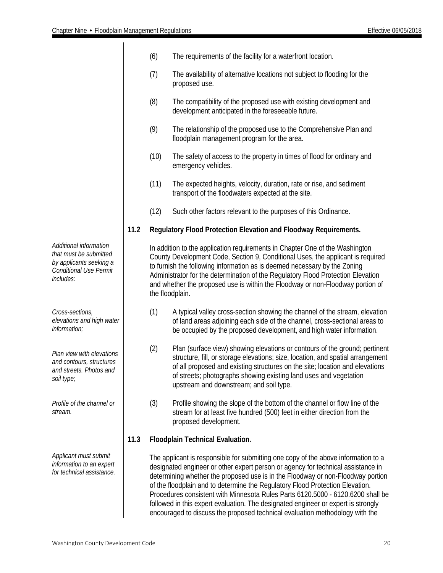|                                                                                                                           |      | (6)  | The requirements of the facility for a waterfront location.                                                                                                                                                                                                                                                                                                                                                                                                                                                                                                                                        |
|---------------------------------------------------------------------------------------------------------------------------|------|------|----------------------------------------------------------------------------------------------------------------------------------------------------------------------------------------------------------------------------------------------------------------------------------------------------------------------------------------------------------------------------------------------------------------------------------------------------------------------------------------------------------------------------------------------------------------------------------------------------|
|                                                                                                                           |      | (7)  | The availability of alternative locations not subject to flooding for the<br>proposed use.                                                                                                                                                                                                                                                                                                                                                                                                                                                                                                         |
|                                                                                                                           |      | (8)  | The compatibility of the proposed use with existing development and<br>development anticipated in the foreseeable future.                                                                                                                                                                                                                                                                                                                                                                                                                                                                          |
|                                                                                                                           |      | (9)  | The relationship of the proposed use to the Comprehensive Plan and<br>floodplain management program for the area.                                                                                                                                                                                                                                                                                                                                                                                                                                                                                  |
|                                                                                                                           |      | (10) | The safety of access to the property in times of flood for ordinary and<br>emergency vehicles.                                                                                                                                                                                                                                                                                                                                                                                                                                                                                                     |
|                                                                                                                           |      | (11) | The expected heights, velocity, duration, rate or rise, and sediment<br>transport of the floodwaters expected at the site.                                                                                                                                                                                                                                                                                                                                                                                                                                                                         |
|                                                                                                                           |      | (12) | Such other factors relevant to the purposes of this Ordinance.                                                                                                                                                                                                                                                                                                                                                                                                                                                                                                                                     |
|                                                                                                                           | 11.2 |      | Regulatory Flood Protection Elevation and Floodway Requirements.                                                                                                                                                                                                                                                                                                                                                                                                                                                                                                                                   |
| Additional information<br>that must be submitted<br>by applicants seeking a<br><b>Conditional Use Permit</b><br>includes: |      |      | In addition to the application requirements in Chapter One of the Washington<br>County Development Code, Section 9, Conditional Uses, the applicant is required<br>to furnish the following information as is deemed necessary by the Zoning<br>Administrator for the determination of the Regulatory Flood Protection Elevation<br>and whether the proposed use is within the Floodway or non-Floodway portion of<br>the floodplain.                                                                                                                                                              |
| Cross-sections,<br>elevations and high water<br>information;                                                              |      | (1)  | A typical valley cross-section showing the channel of the stream, elevation<br>of land areas adjoining each side of the channel, cross-sectional areas to<br>be occupied by the proposed development, and high water information.                                                                                                                                                                                                                                                                                                                                                                  |
| Plan view with elevations<br>and contours, structures<br>and streets. Photos and<br>soil type;                            |      | (2)  | Plan (surface view) showing elevations or contours of the ground; pertinent<br>structure, fill, or storage elevations; size, location, and spatial arrangement<br>of all proposed and existing structures on the site; location and elevations<br>of streets; photographs showing existing land uses and vegetation<br>upstream and downstream; and soil type.                                                                                                                                                                                                                                     |
| Profile of the channel or<br>stream.                                                                                      |      | (3)  | Profile showing the slope of the bottom of the channel or flow line of the<br>stream for at least five hundred (500) feet in either direction from the<br>proposed development.                                                                                                                                                                                                                                                                                                                                                                                                                    |
|                                                                                                                           | 11.3 |      | Floodplain Technical Evaluation.                                                                                                                                                                                                                                                                                                                                                                                                                                                                                                                                                                   |
| Applicant must submit<br>information to an expert<br>for technical assistance.                                            |      |      | The applicant is responsible for submitting one copy of the above information to a<br>designated engineer or other expert person or agency for technical assistance in<br>determining whether the proposed use is in the Floodway or non-Floodway portion<br>of the floodplain and to determine the Regulatory Flood Protection Elevation.<br>Procedures consistent with Minnesota Rules Parts 6120.5000 - 6120.6200 shall be<br>followed in this expert evaluation. The designated engineer or expert is strongly<br>encouraged to discuss the proposed technical evaluation methodology with the |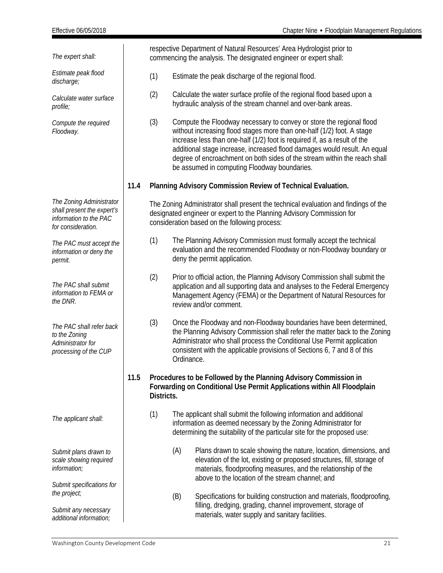| The expert shall:                                                                                      |      | respective Department of Natural Resources' Area Hydrologist prior to<br>commencing the analysis. The designated engineer or expert shall: |                                                                                                                                                                                                                                                                                                                                                                                                                                       |  |
|--------------------------------------------------------------------------------------------------------|------|--------------------------------------------------------------------------------------------------------------------------------------------|---------------------------------------------------------------------------------------------------------------------------------------------------------------------------------------------------------------------------------------------------------------------------------------------------------------------------------------------------------------------------------------------------------------------------------------|--|
| Estimate peak flood<br>discharge;                                                                      |      | (1)                                                                                                                                        | Estimate the peak discharge of the regional flood.                                                                                                                                                                                                                                                                                                                                                                                    |  |
| Calculate water surface<br>profile;                                                                    |      | (2)                                                                                                                                        | Calculate the water surface profile of the regional flood based upon a<br>hydraulic analysis of the stream channel and over-bank areas.                                                                                                                                                                                                                                                                                               |  |
| Compute the required<br>Floodway.                                                                      |      | (3)                                                                                                                                        | Compute the Floodway necessary to convey or store the regional flood<br>without increasing flood stages more than one-half (1/2) foot. A stage<br>increase less than one-half (1/2) foot is required if, as a result of the<br>additional stage increase, increased flood damages would result. An equal<br>degree of encroachment on both sides of the stream within the reach shall<br>be assumed in computing Floodway boundaries. |  |
|                                                                                                        | 11.4 |                                                                                                                                            | Planning Advisory Commission Review of Technical Evaluation.                                                                                                                                                                                                                                                                                                                                                                          |  |
| The Zoning Administrator<br>shall present the expert's<br>information to the PAC<br>for consideration. |      |                                                                                                                                            | The Zoning Administrator shall present the technical evaluation and findings of the<br>designated engineer or expert to the Planning Advisory Commission for<br>consideration based on the following process:                                                                                                                                                                                                                         |  |
| The PAC must accept the<br>information or deny the<br>permit.                                          |      | (1)                                                                                                                                        | The Planning Advisory Commission must formally accept the technical<br>evaluation and the recommended Floodway or non-Floodway boundary or<br>deny the permit application.                                                                                                                                                                                                                                                            |  |
| The PAC shall submit<br>information to FEMA or<br>the DNR.                                             |      | (2)                                                                                                                                        | Prior to official action, the Planning Advisory Commission shall submit the<br>application and all supporting data and analyses to the Federal Emergency<br>Management Agency (FEMA) or the Department of Natural Resources for<br>review and/or comment.                                                                                                                                                                             |  |
| The PAC shall refer back<br>to the Zoning<br>Administrator for<br>processing of the CUP                |      | (3)                                                                                                                                        | Once the Floodway and non-Floodway boundaries have been determined,<br>the Planning Advisory Commission shall refer the matter back to the Zoning<br>Administrator who shall process the Conditional Use Permit application<br>consistent with the applicable provisions of Sections 6, 7 and 8 of this<br>Ordinance.                                                                                                                 |  |
|                                                                                                        | 11.5 | Districts.                                                                                                                                 | Procedures to be Followed by the Planning Advisory Commission in<br>Forwarding on Conditional Use Permit Applications within All Floodplain                                                                                                                                                                                                                                                                                           |  |
| The applicant shall:                                                                                   |      | (1)                                                                                                                                        | The applicant shall submit the following information and additional<br>information as deemed necessary by the Zoning Administrator for<br>determining the suitability of the particular site for the proposed use:                                                                                                                                                                                                                    |  |
| Submit plans drawn to<br>scale showing required<br>information;                                        |      |                                                                                                                                            | (A)<br>Plans drawn to scale showing the nature, location, dimensions, and<br>elevation of the lot, existing or proposed structures, fill, storage of<br>materials, floodproofing measures, and the relationship of the<br>above to the location of the stream channel; and                                                                                                                                                            |  |
| Submit specifications for<br>the project;                                                              |      |                                                                                                                                            | (B)<br>Specifications for building construction and materials, floodproofing,                                                                                                                                                                                                                                                                                                                                                         |  |
| Submit any necessary<br>additional information;                                                        |      |                                                                                                                                            | filling, dredging, grading, channel improvement, storage of<br>materials, water supply and sanitary facilities.                                                                                                                                                                                                                                                                                                                       |  |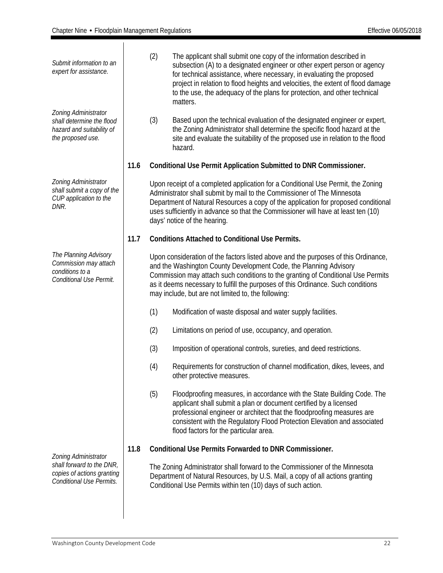<span id="page-22-0"></span>

| Submit information to an<br>expert for assistance.                                                                 |      | (2) | The applicant shall submit one copy of the information described in<br>subsection (A) to a designated engineer or other expert person or agency<br>for technical assistance, where necessary, in evaluating the proposed<br>project in relation to flood heights and velocities, the extent of flood damage<br>to the use, the adequacy of the plans for protection, and other technical<br>matters. |
|--------------------------------------------------------------------------------------------------------------------|------|-----|------------------------------------------------------------------------------------------------------------------------------------------------------------------------------------------------------------------------------------------------------------------------------------------------------------------------------------------------------------------------------------------------------|
| Zoning Administrator<br>shall determine the flood<br>hazard and suitability of<br>the proposed use.                |      | (3) | Based upon the technical evaluation of the designated engineer or expert,<br>the Zoning Administrator shall determine the specific flood hazard at the<br>site and evaluate the suitability of the proposed use in relation to the flood<br>hazard.                                                                                                                                                  |
|                                                                                                                    | 11.6 |     | Conditional Use Permit Application Submitted to DNR Commissioner.                                                                                                                                                                                                                                                                                                                                    |
| Zoning Administrator<br>shall submit a copy of the<br>CUP application to the<br>DNR.                               |      |     | Upon receipt of a completed application for a Conditional Use Permit, the Zoning<br>Administrator shall submit by mail to the Commissioner of The Minnesota<br>Department of Natural Resources a copy of the application for proposed conditional<br>uses sufficiently in advance so that the Commissioner will have at least ten (10)<br>days' notice of the hearing.                               |
|                                                                                                                    | 11.7 |     | <b>Conditions Attached to Conditional Use Permits.</b>                                                                                                                                                                                                                                                                                                                                               |
| The Planning Advisory<br>Commission may attach<br>conditions to a<br>Conditional Use Permit.                       |      |     | Upon consideration of the factors listed above and the purposes of this Ordinance,<br>and the Washington County Development Code, the Planning Advisory<br>Commission may attach such conditions to the granting of Conditional Use Permits<br>as it deems necessary to fulfill the purposes of this Ordinance. Such conditions<br>may include, but are not limited to, the following:               |
|                                                                                                                    |      | (1) | Modification of waste disposal and water supply facilities.                                                                                                                                                                                                                                                                                                                                          |
|                                                                                                                    |      | (2) | Limitations on period of use, occupancy, and operation.                                                                                                                                                                                                                                                                                                                                              |
|                                                                                                                    |      | (3) | Imposition of operational controls, sureties, and deed restrictions.                                                                                                                                                                                                                                                                                                                                 |
|                                                                                                                    |      | (4) | Requirements for construction of channel modification, dikes, levees, and<br>other protective measures.                                                                                                                                                                                                                                                                                              |
|                                                                                                                    |      | (5) | Floodproofing measures, in accordance with the State Building Code. The<br>applicant shall submit a plan or document certified by a licensed<br>professional engineer or architect that the floodproofing measures are<br>consistent with the Regulatory Flood Protection Elevation and associated<br>flood factors for the particular area.                                                         |
|                                                                                                                    | 11.8 |     | <b>Conditional Use Permits Forwarded to DNR Commissioner.</b>                                                                                                                                                                                                                                                                                                                                        |
| Zoning Administrator<br>shall forward to the DNR,<br>copies of actions granting<br><b>Conditional Use Permits.</b> |      |     | The Zoning Administrator shall forward to the Commissioner of the Minnesota<br>Department of Natural Resources, by U.S. Mail, a copy of all actions granting<br>Conditional Use Permits within ten (10) days of such action.                                                                                                                                                                         |
|                                                                                                                    |      |     |                                                                                                                                                                                                                                                                                                                                                                                                      |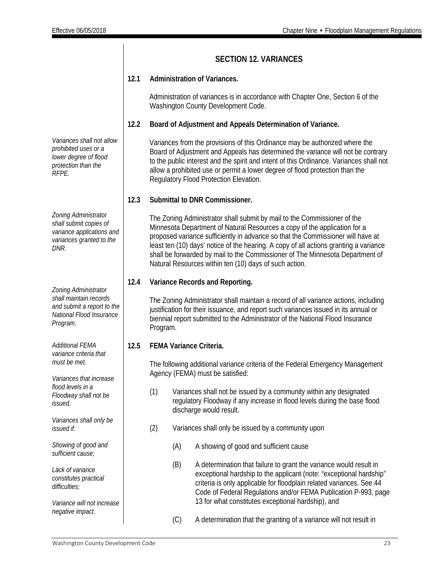|                                                                                                                 |      |                                                                                                                                                                                                                                                                                                                                                                                                                                                                              |     | <b>SECTION 12. VARIANCES</b>                                                                                                                                                                                                                                                                                                                                                         |  |
|-----------------------------------------------------------------------------------------------------------------|------|------------------------------------------------------------------------------------------------------------------------------------------------------------------------------------------------------------------------------------------------------------------------------------------------------------------------------------------------------------------------------------------------------------------------------------------------------------------------------|-----|--------------------------------------------------------------------------------------------------------------------------------------------------------------------------------------------------------------------------------------------------------------------------------------------------------------------------------------------------------------------------------------|--|
|                                                                                                                 | 12.1 |                                                                                                                                                                                                                                                                                                                                                                                                                                                                              |     | <b>Administration of Variances.</b>                                                                                                                                                                                                                                                                                                                                                  |  |
|                                                                                                                 |      |                                                                                                                                                                                                                                                                                                                                                                                                                                                                              |     | Administration of variances is in accordance with Chapter One, Section 6 of the<br>Washington County Development Code.                                                                                                                                                                                                                                                               |  |
|                                                                                                                 | 12.2 |                                                                                                                                                                                                                                                                                                                                                                                                                                                                              |     | Board of Adjustment and Appeals Determination of Variance.                                                                                                                                                                                                                                                                                                                           |  |
| Variances shall not allow<br>prohibited uses or a<br>lower degree of flood<br>protection than the<br>RFPE.      |      |                                                                                                                                                                                                                                                                                                                                                                                                                                                                              |     | Variances from the provisions of this Ordinance may be authorized where the<br>Board of Adjustment and Appeals has determined the variance will not be contrary<br>to the public interest and the spirit and intent of this Ordinance. Variances shall not<br>allow a prohibited use or permit a lower degree of flood protection than the<br>Regulatory Flood Protection Elevation. |  |
|                                                                                                                 | 12.3 |                                                                                                                                                                                                                                                                                                                                                                                                                                                                              |     | Submittal to DNR Commissioner.                                                                                                                                                                                                                                                                                                                                                       |  |
| Zoning Administrator<br>shall submit copies of<br>variance applications and<br>variances granted to the<br>DNR. |      | The Zoning Administrator shall submit by mail to the Commissioner of the<br>Minnesota Department of Natural Resources a copy of the application for a<br>proposed variance sufficiently in advance so that the Commissioner will have at<br>least ten (10) days' notice of the hearing. A copy of all actions granting a variance<br>shall be forwarded by mail to the Commissioner of The Minnesota Department of<br>Natural Resources within ten (10) days of such action. |     |                                                                                                                                                                                                                                                                                                                                                                                      |  |
| Zoning Administrator                                                                                            | 12.4 |                                                                                                                                                                                                                                                                                                                                                                                                                                                                              |     | Variance Records and Reporting.                                                                                                                                                                                                                                                                                                                                                      |  |
| shall maintain records<br>and submit a report to the<br>National Flood Insurance<br>Program.                    |      | Program.                                                                                                                                                                                                                                                                                                                                                                                                                                                                     |     | The Zoning Administrator shall maintain a record of all variance actions, including<br>justification for their issuance, and report such variances issued in its annual or<br>biennial report submitted to the Administrator of the National Flood Insurance                                                                                                                         |  |
| <b>Additional FEMA</b><br>variance criteria that                                                                | 12.5 |                                                                                                                                                                                                                                                                                                                                                                                                                                                                              |     | FEMA Variance Criteria.                                                                                                                                                                                                                                                                                                                                                              |  |
| must be met.<br>Variances that increase                                                                         |      |                                                                                                                                                                                                                                                                                                                                                                                                                                                                              |     | The following additional variance criteria of the Federal Emergency Management<br>Agency (FEMA) must be satisfied:                                                                                                                                                                                                                                                                   |  |
| flood levels in a<br>Floodway shall not be<br>issued.                                                           |      | (1)                                                                                                                                                                                                                                                                                                                                                                                                                                                                          |     | Variances shall not be issued by a community within any designated<br>regulatory Floodway if any increase in flood levels during the base flood<br>discharge would result.                                                                                                                                                                                                           |  |
| Variances shall only be<br>issued if:                                                                           |      | (2)                                                                                                                                                                                                                                                                                                                                                                                                                                                                          |     | Variances shall only be issued by a community upon                                                                                                                                                                                                                                                                                                                                   |  |
| Showing of good and<br>sufficient cause;                                                                        |      |                                                                                                                                                                                                                                                                                                                                                                                                                                                                              | (A) | A showing of good and sufficient cause                                                                                                                                                                                                                                                                                                                                               |  |
| Lack of variance<br>constitutes practical<br>difficulties;<br>Variance will not increase                        |      |                                                                                                                                                                                                                                                                                                                                                                                                                                                                              | (B) | A determination that failure to grant the variance would result in<br>exceptional hardship to the applicant (note: "exceptional hardship"<br>criteria is only applicable for floodplain related variances. See 44<br>Code of Federal Regulations and/or FEMA Publication P-993, page<br>13 for what constitutes exceptional hardship), and                                           |  |
| negative impact.                                                                                                |      |                                                                                                                                                                                                                                                                                                                                                                                                                                                                              | (C) | A determination that the granting of a variance will not result in                                                                                                                                                                                                                                                                                                                   |  |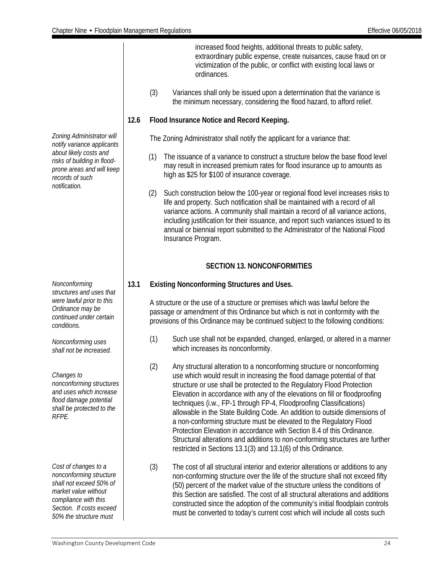increased flood heights, additional threats to public safety, extraordinary public expense, create nuisances, cause fraud on or victimization of the public, or conflict with existing local laws or ordinances. (3) Variances shall only be issued upon a determination that the variance is the minimum necessary, considering the flood hazard, to afford relief. **12.6 Flood Insurance Notice and Record Keeping.** The Zoning Administrator shall notify the applicant for a variance that: (1) The issuance of a variance to construct a structure below the base flood level may result in increased premium rates for flood insurance up to amounts as high as \$25 for \$100 of insurance coverage. (2) Such construction below the 100-year or regional flood level increases risks to life and property. Such notification shall be maintained with a record of all variance actions. A community shall maintain a record of all variance actions, including justification for their issuance, and report such variances issued to its annual or biennial report submitted to the Administrator of the National Flood Insurance Program. **SECTION 13. NONCONFORMITIES** *Cost of changes to a nonconforming structure shall not exceed 50% of market value without compliance with this Section. If costs exceed 50% the structure must*  **13.1 Existing Nonconforming Structures and Uses.** A structure or the use of a structure or premises which was lawful before the passage or amendment of this Ordinance but which is not in conformity with the provisions of this Ordinance may be continued subject to the following conditions: (1) Such use shall not be expanded, changed, enlarged, or altered in a manner which increases its nonconformity. (2) Any structural alteration to a nonconforming structure or nonconforming use which would result in increasing the flood damage potential of that structure or use shall be protected to the Regulatory Flood Protection Elevation in accordance with any of the elevations on fill or floodproofing techniques (i.w., FP-1 through FP-4, Floodproofing Classifications) allowable in the State Building Code. An addition to outside dimensions of a non-conforming structure must be elevated to the Regulatory Flood Protection Elevation in accordance with Section 8.4 of this Ordinance. Structural alterations and additions to non-conforming structures are further restricted in Sections 13.1(3) and 13.1(6) of this Ordinance. (3) The cost of all structural interior and exterior alterations or additions to any non-conforming structure over the life of the structure shall not exceed fifty (50) percent of the market value of the structure unless the conditions of this Section are satisfied. The cost of all structural alterations and additions constructed since the adoption of the community's initial floodplain controls must be converted to today's current cost which will include all costs such

*Zoning Administrator will notify variance applicants about likely costs and risks of building in floodprone areas and will keep records of such notification.*

<span id="page-24-0"></span>*Nonconforming structures and uses that were lawful prior to this Ordinance may be continued under certain conditions.*

*Nonconforming uses shall not be increased.*

*Changes to nonconforming structures and uses which increase flood damage potential shall be protected to the RFPE.*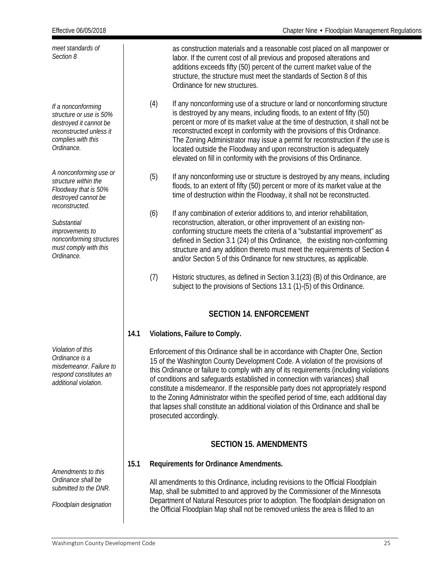| Effective 06/05/2018                                                                                                                   |      |     | Chapter Nine • Floodplain Management Regulations                                                                                                                                                                                                                                                                                                                                                                                                                                                                                                                                                                                          |
|----------------------------------------------------------------------------------------------------------------------------------------|------|-----|-------------------------------------------------------------------------------------------------------------------------------------------------------------------------------------------------------------------------------------------------------------------------------------------------------------------------------------------------------------------------------------------------------------------------------------------------------------------------------------------------------------------------------------------------------------------------------------------------------------------------------------------|
| meet standards of<br>Section 8                                                                                                         |      |     | as construction materials and a reasonable cost placed on all manpower or<br>labor. If the current cost of all previous and proposed alterations and<br>additions exceeds fifty (50) percent of the current market value of the<br>structure, the structure must meet the standards of Section 8 of this<br>Ordinance for new structures.                                                                                                                                                                                                                                                                                                 |
| If a nonconforming<br>structure or use is 50%<br>destroyed it cannot be<br>reconstructed unless it<br>complies with this<br>Ordinance. |      | (4) | If any nonconforming use of a structure or land or nonconforming structure<br>is destroyed by any means, including floods, to an extent of fifty (50)<br>percent or more of its market value at the time of destruction, it shall not be<br>reconstructed except in conformity with the provisions of this Ordinance.<br>The Zoning Administrator may issue a permit for reconstruction if the use is<br>located outside the Floodway and upon reconstruction is adequately<br>elevated on fill in conformity with the provisions of this Ordinance.                                                                                      |
| A nonconforming use or<br>structure within the<br>Floodway that is 50%<br>destroyed cannot be<br>reconstructed.                        |      | (5) | If any nonconforming use or structure is destroyed by any means, including<br>floods, to an extent of fifty (50) percent or more of its market value at the<br>time of destruction within the Floodway, it shall not be reconstructed.                                                                                                                                                                                                                                                                                                                                                                                                    |
| Substantial<br>improvements to<br>nonconforming structures<br>must comply with this<br>Ordinance.                                      |      | (6) | If any combination of exterior additions to, and interior rehabilitation,<br>reconstruction, alteration, or other improvement of an existing non-<br>conforming structure meets the criteria of a "substantial improvement" as<br>defined in Section 3.1 (24) of this Ordinance, the existing non-conforming<br>structure and any addition thereto must meet the requirements of Section 4<br>and/or Section 5 of this Ordinance for new structures, as applicable.                                                                                                                                                                       |
|                                                                                                                                        |      | (7) | Historic structures, as defined in Section 3.1(23) (B) of this Ordinance, are<br>subject to the provisions of Sections 13.1 (1)-(5) of this Ordinance.                                                                                                                                                                                                                                                                                                                                                                                                                                                                                    |
|                                                                                                                                        |      |     | <b>SECTION 14. ENFORCEMENT</b>                                                                                                                                                                                                                                                                                                                                                                                                                                                                                                                                                                                                            |
|                                                                                                                                        | 14.1 |     | Violations, Failure to Comply.                                                                                                                                                                                                                                                                                                                                                                                                                                                                                                                                                                                                            |
| Violation of this<br>Ordinance is a<br>misdemeanor. Failure to<br>respond constitutes an<br>additional violation.                      |      |     | Enforcement of this Ordinance shall be in accordance with Chapter One, Section<br>15 of the Washington County Development Code. A violation of the provisions of<br>this Ordinance or failure to comply with any of its requirements (including violations<br>of conditions and safeguards established in connection with variances) shall<br>constitute a misdemeanor. If the responsible party does not appropriately respond<br>to the Zoning Administrator within the specified period of time, each additional day<br>that lapses shall constitute an additional violation of this Ordinance and shall be<br>prosecuted accordingly. |
|                                                                                                                                        |      |     | <b>SECTION 15. AMENDMENTS</b>                                                                                                                                                                                                                                                                                                                                                                                                                                                                                                                                                                                                             |
| Amendments to this                                                                                                                     | 15.1 |     | Requirements for Ordinance Amendments.                                                                                                                                                                                                                                                                                                                                                                                                                                                                                                                                                                                                    |
| Ordinance shall be<br>submitted to the DNR.<br>Floodplain designation                                                                  |      |     | All amendments to this Ordinance, including revisions to the Official Floodplain<br>Map, shall be submitted to and approved by the Commissioner of the Minnesota<br>Department of Natural Resources prior to adoption. The floodplain designation on<br>the Official Floodplain Map shall not be removed unless the area is filled to an                                                                                                                                                                                                                                                                                                  |

#### <span id="page-25-1"></span><span id="page-25-0"></span>Washington County Development Code 25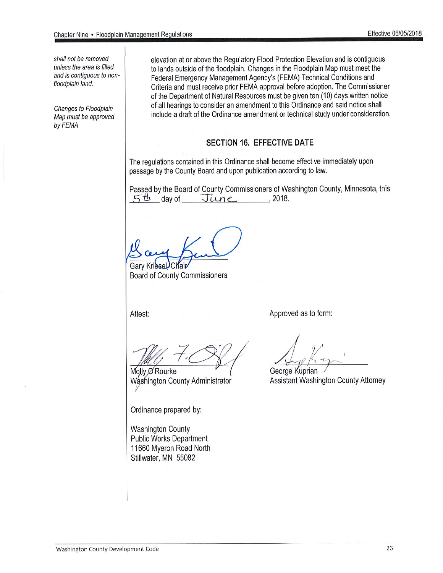shall not be removed unless the area is filled and is contiguous to nonfloodplain land.

Changes to Floodplain Map must be approved by FEMA

elevation at or above the Regulatory Flood Protection Elevation and is contiguous to lands outside of the floodplain. Changes in the Floodplain Map must meet the Federal Emergency Management Agency's (FEMA) Technical Conditions and Criteria and must receive prior FEMA approval before adoption. The Commissioner of the Department of Natural Resources must be given ten (10) days written notice of all hearings to consider an amendment to this Ordinance and said notice shall include a draft of the Ordinance amendment or technical study under consideration.

#### **SECTION 16. EFFECTIVE DATE**

The regulations contained in this Ordinance shall become effective immediately upon passage by the County Board and upon publication according to law.

Passed by the Board of County Commissioners of Washington County, Minnesota, this  $5th$  day of  $June$  2018.

**Gary Kries** 

**Board of County Commissioners** 

Attest:

Approved as to form:

Molly O'Rourke Washington County Administrator

Ordinance prepared by:

**Washington County Public Works Department** 11660 Myeron Road North Stillwater, MN 55082

George Kuprian

Assistant Washington County Attorney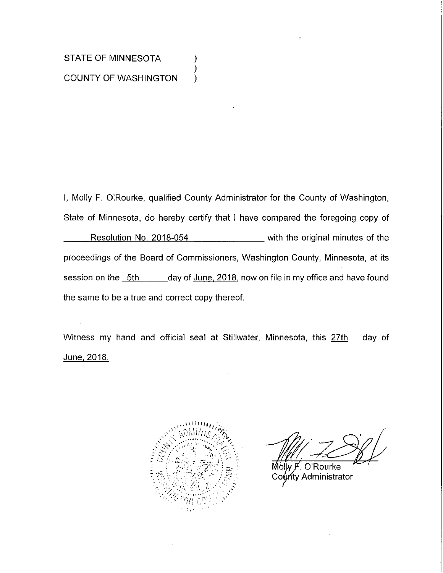## STATE OF MINNESOTA **COUNTY OF WASHINGTON**

I, Molly F. O'Rourke, qualified County Administrator for the County of Washington, State of Minnesota, do hereby certify that I have compared the foregoing copy of Resolution No. 2018-054 \_\_\_\_\_\_\_\_\_\_\_ with the original minutes of the proceedings of the Board of Commissioners, Washington County, Minnesota, at its session on the 5th \_\_\_\_\_\_ day of June, 2018, now on file in my office and have found the same to be a true and correct copy thereof.

).

Witness my hand and official seal at Stillwater, Minnesota, this 27th day of <u>June, 2018.</u>



O'Rourke Molw F ท<sub>ี่</sub>ty Administrator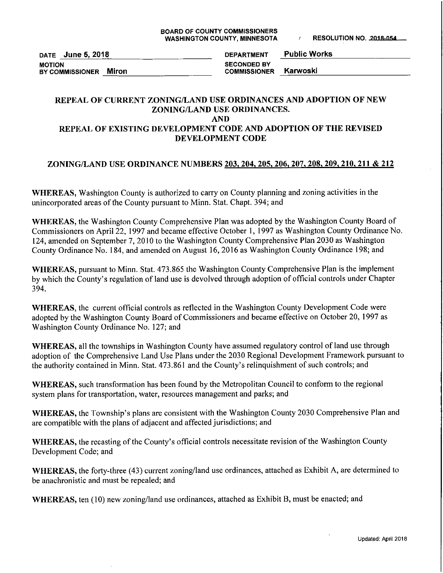DATE June 5, 2018 **MOTION** BY COMMISSIONER Miron

**Public Works DEPARTMENT SECONDED BY** Karwoski **COMMISSIONER** 

#### REPEAL OF CURRENT ZONING/LAND USE ORDINANCES AND ADOPTION OF NEW ZONING/LAND USE ORDINANCES. **AND**

#### REPEAL OF EXISTING DEVELOPMENT CODE AND ADOPTION OF THE REVISED DEVELOPMENT CODE

#### ZONING/LAND USE ORDINANCE NUMBERS 203, 204, 205, 206, 207, 208, 209, 210, 211 & 212

WHEREAS, Washington County is authorized to carry on County planning and zoning activities in the unincorporated areas of the County pursuant to Minn. Stat. Chapt. 394; and

WHEREAS, the Washington County Comprehensive Plan was adopted by the Washington County Board of Commissioners on April 22, 1997 and became effective October 1, 1997 as Washington County Ordinance No. 124, amended on September 7, 2010 to the Washington County Comprehensive Plan 2030 as Washington County Ordinance No. 184, and amended on August 16, 2016 as Washington County Ordinance 198; and

WHEREAS, pursuant to Minn. Stat. 473.865 the Washington County Comprehensive Plan is the implement by which the County's regulation of land use is devolved through adoption of official controls under Chapter 394.

**WHEREAS**, the current official controls as reflected in the Washington County Development Code were adopted by the Washington County Board of Commissioners and became effective on October 20, 1997 as Washington County Ordinance No. 127; and

WHEREAS, all the townships in Washington County have assumed regulatory control of land use through adoption of the Comprehensive Land Use Plans under the 2030 Regional Development Framework pursuant to the authority contained in Minn. Stat. 473.861 and the County's relinquishment of such controls; and

WHEREAS, such transformation has been found by the Metropolitan Council to conform to the regional system plans for transportation, water, resources management and parks; and

WHEREAS, the Township's plans are consistent with the Washington County 2030 Comprehensive Plan and are compatible with the plans of adjacent and affected jurisdictions; and

WHEREAS, the recasting of the County's official controls necessitate revision of the Washington County Development Code; and

WHEREAS, the forty-three (43) current zoning/land use ordinances, attached as Exhibit A, are determined to be anachronistic and must be repealed; and

WHEREAS, ten (10) new zoning/land use ordinances, attached as Exhibit B, must be enacted; and